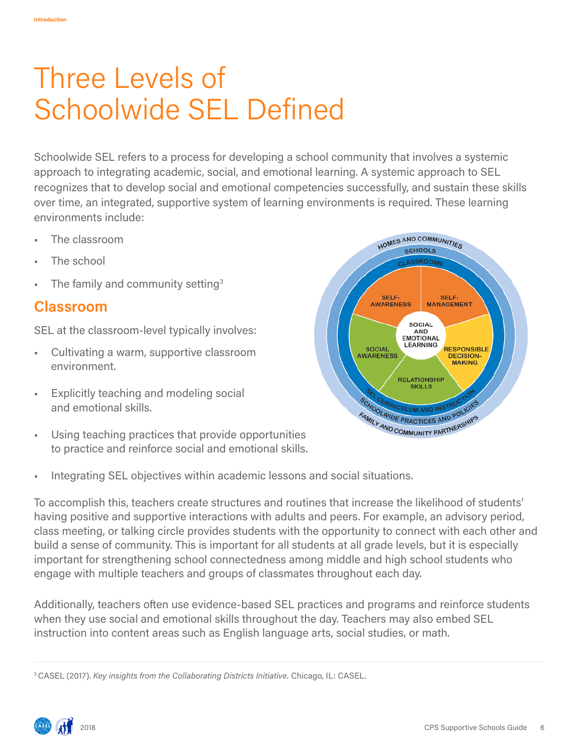# Three Levels of Schoolwide SEL Defined

Schoolwide SEL refers to a process for developing a school community that involves a systemic approach to integrating academic, social, and emotional learning. A systemic approach to SEL recognizes that to develop social and emotional competencies successfully, and sustain these skills over time, an integrated, supportive system of learning environments is required. These learning environments include:

- The classroom
- The school
- The family and community setting<sup>3</sup>

## **Classroom**

SEL at the classroom-level typically involves:

- Cultivating a warm, supportive classroom environment.
- Explicitly teaching and modeling social and emotional skills.
- Using teaching practices that provide opportunities to practice and reinforce social and emotional skills.



• Integrating SEL objectives within academic lessons and social situations.

To accomplish this, teachers create structures and routines that increase the likelihood of students' having positive and supportive interactions with adults and peers. For example, an advisory period, class meeting, or talking circle provides students with the opportunity to connect with each other and build a sense of community. This is important for all students at all grade levels, but it is especially important for strengthening school connectedness among middle and high school students who engage with multiple teachers and groups of classmates throughout each day.

Additionally, teachers often use evidence-based SEL practices and programs and reinforce students when they use social and emotional skills throughout the day. Teachers may also embed SEL instruction into content areas such as English language arts, social studies, or math.

<sup>3</sup> CASEL (2017). *Key insights from the Collaborating Districts Initiative.* Chicago, IL: CASEL.

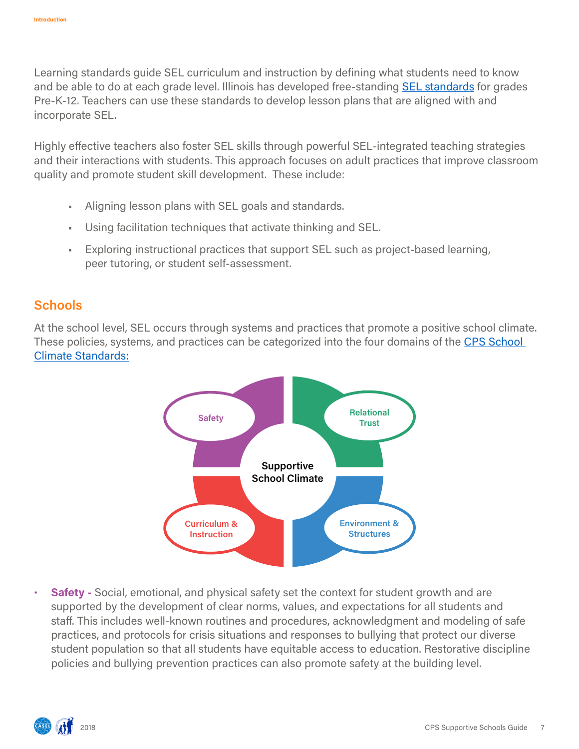Learning standards guide SEL curriculum and instruction by defining what students need to know and be able to do at each grade level. Illinois has developed free-standing [SEL standards](https://www.isbe.net/Pages/Social-Emotional-Learning-Standards.aspx) for grades Pre-K-12. Teachers can use these standards to develop lesson plans that are aligned with and incorporate SEL.

Highly efective teachers also foster SEL skills through powerful SEL-integrated teaching strategies and their interactions with students. This approach focuses on adult practices that improve classroom quality and promote student skill development. These include:

- Aligning lesson plans with SEL goals and standards.
- Using facilitation techniques that activate thinking and SEL.
- Exploring instructional practices that support SEL such as project-based learning, peer tutoring, or student self-assessment.

#### **Schools**

At the school level, SEL occurs through systems and practices that promote a positive school climate. These policies, systems, and practices can be categorized into the four domains of the CPS School [Climate Standards](https://drive.google.com/file/d/0B9Bt3QbpihSYNjFRZ1Q5S19SeW8/view):



**• Safety -** Social, emotional, and physical safety set the context for student growth and are supported by the development of clear norms, values, and expectations for all students and staff. This includes well-known routines and procedures, acknowledgment and modeling of safe practices, and protocols for crisis situations and responses to bullying that protect our diverse student population so that all students have equitable access to education. Restorative discipline policies and bullying prevention practices can also promote safety at the building level.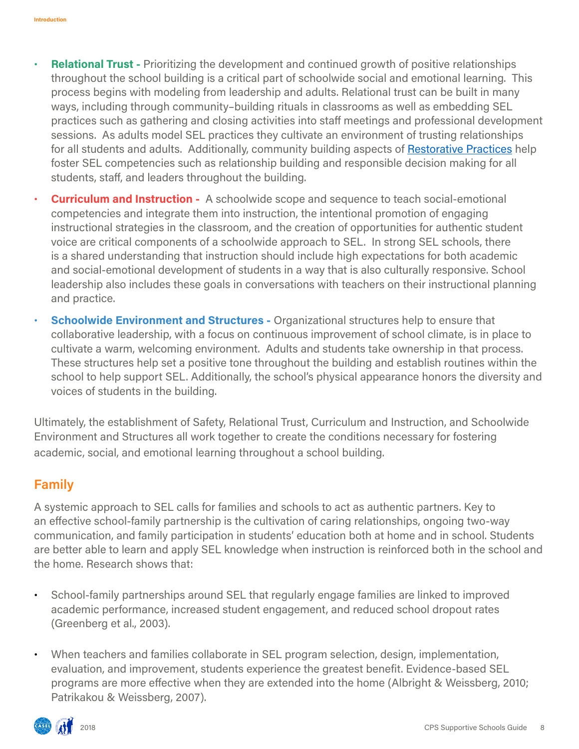- **• Relational Trust -** Prioritizing the development and continued growth of positive relationships throughout the school building is a critical part of schoolwide social and emotional learning. This process begins with modeling from leadership and adults. Relational trust can be built in many ways, including through community–building rituals in classrooms as well as embedding SEL practices such as gathering and closing activities into staff meetings and professional development sessions. As adults model SEL practices they cultivate an environment of trusting relationships for all students and adults. Additionally, community building aspects of [Restorative Practices](https://sites.google.com/a/cps.edu/kc/curriculum/climate-culture-college-readiness/the-cps-restorative-practices-toolkit?pli=1) help foster SEL competencies such as relationship building and responsible decision making for all students, staff, and leaders throughout the building.
- **Curriculum and Instruction -** A schoolwide scope and sequence to teach social-emotional competencies and integrate them into instruction, the intentional promotion of engaging instructional strategies in the classroom, and the creation of opportunities for authentic student voice are critical components of a schoolwide approach to SEL. In strong SEL schools, there is a shared understanding that instruction should include high expectations for both academic and social-emotional development of students in a way that is also culturally responsive. School leadership also includes these goals in conversations with teachers on their instructional planning and practice.
- **• Schoolwide Environment and Structures -** Organizational structures help to ensure that collaborative leadership, with a focus on continuous improvement of school climate, is in place to cultivate a warm, welcoming environment. Adults and students take ownership in that process. These structures help set a positive tone throughout the building and establish routines within the school to help support SEL. Additionally, the school's physical appearance honors the diversity and voices of students in the building.

Ultimately, the establishment of Safety, Relational Trust, Curriculum and Instruction, and Schoolwide Environment and Structures all work together to create the conditions necessary for fostering academic, social, and emotional learning throughout a school building.

#### **Family**

A systemic approach to SEL calls for families and schools to act as authentic partners. Key to an efective school-family partnership is the cultivation of caring relationships, ongoing two-way communication, and family participation in students' education both at home and in school. Students are better able to learn and apply SEL knowledge when instruction is reinforced both in the school and the home. Research shows that:

- School-family partnerships around SEL that regularly engage families are linked to improved academic performance, increased student engagement, and reduced school dropout rates (Greenberg et al., 2003).
- When teachers and families collaborate in SEL program selection, design, implementation, evaluation, and improvement, students experience the greatest benefit. Evidence-based SEL programs are more efective when they are extended into the home (Albright & Weissberg, 2010; Patrikakou & Weissberg, 2007).